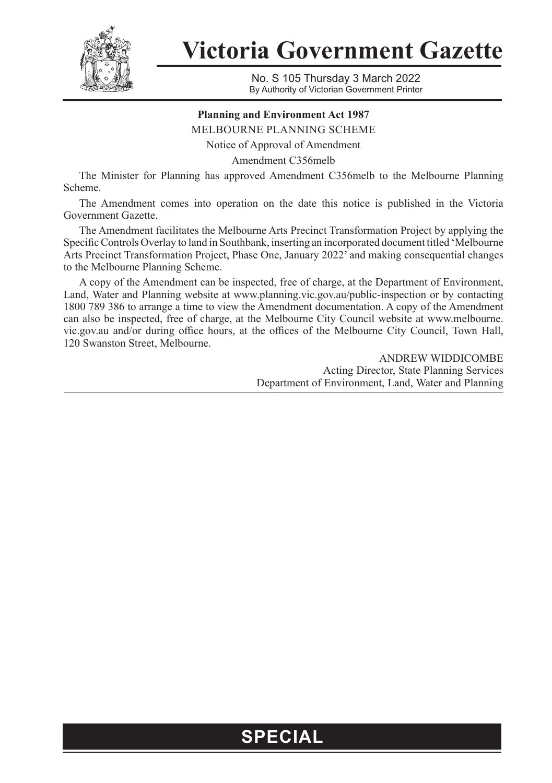

**Victoria Government Gazette**

No. S 105 Thursday 3 March 2022 By Authority of Victorian Government Printer

## **Planning and Environment Act 1987**

MELBOURNE PLANNING SCHEME

Notice of Approval of Amendment

Amendment C356melb

The Minister for Planning has approved Amendment C356melb to the Melbourne Planning Scheme.

The Amendment comes into operation on the date this notice is published in the Victoria Government Gazette.

The Amendment facilitates the Melbourne Arts Precinct Transformation Project by applying the Specific Controls Overlay to land in Southbank, inserting an incorporated document titled 'Melbourne Arts Precinct Transformation Project, Phase One, January 2022' and making consequential changes to the Melbourne Planning Scheme.

A copy of the Amendment can be inspected, free of charge, at the Department of Environment, Land, Water and Planning website at www.planning.vic.gov.au/public-inspection or by contacting 1800 789 386 to arrange a time to view the Amendment documentation. A copy of the Amendment can also be inspected, free of charge, at the Melbourne City Council website at www.melbourne. vic.gov.au and/or during office hours, at the offices of the Melbourne City Council, Town Hall, 120 Swanston Street, Melbourne.

> ANDREW WIDDICOMBE Acting Director, State Planning Services Department of Environment, Land, Water and Planning

## **SPECIAL**